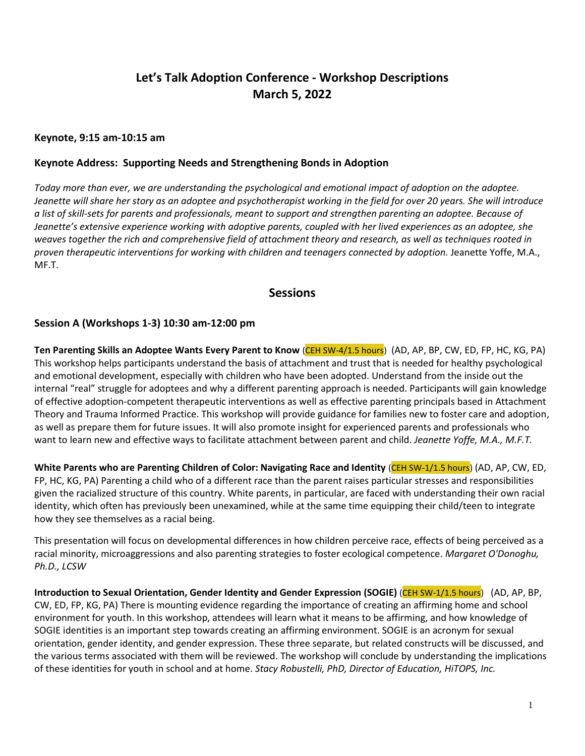# **Let's Talk Adoption Conference - Workshop Descriptions March 5, 2022**

#### **Keynote, 9:15 am-10:15 am**

#### **Keynote Address: Supporting Needs and Strengthening Bonds in Adoption**

*Today more than ever, we are understanding the psychological and emotional impact of adoption on the adoptee. Jeanette will share her story as an adoptee and psychotherapist working in the field for over 20 years. She will introduce a list of skill-sets for parents and professionals, meant to support and strengthen parenting an adoptee. Because of Jeanette's extensive experience working with adoptive parents, coupled with her lived experiences as an adoptee, she weaves together the rich and comprehensive field of attachment theory and research, as well as techniques rooted in proven therapeutic interventions for working with children and teenagers connected by adoption.* Jeanette Yoffe, M.A., MF.T.

## **Sessions**

#### **Session A (Workshops 1-3) 10:30 am-12:00 pm**

**Ten Parenting Skills an Adoptee Wants Every Parent to Know** (CEH SW-4/1.5 hours) (AD, AP, BP, CW, ED, FP, HC, KG, PA) This workshop helps participants understand the basis of attachment and trust that is needed for healthy psychological and emotional development, especially with children who have been adopted. Understand from the inside out the internal "real" struggle for adoptees and why a different parenting approach is needed. Participants will gain knowledge of effective adoption-competent therapeutic interventions as well as effective parenting principals based in Attachment Theory and Trauma Informed Practice. This workshop will provide guidance for families new to foster care and adoption, as well as prepare them for future issues. It will also promote insight for experienced parents and professionals who want to learn new and effective ways to facilitate attachment between parent and child. *Jeanette Yoffe, M.A., M.F.T.*

**White Parents who are Parenting Children of Color: Navigating Race and Identity** (CEH SW-1/1.5 hours) (AD, AP, CW, ED, FP, HC, KG, PA) Parenting a child who of a different race than the parent raises particular stresses and responsibilities given the racialized structure of this country. White parents, in particular, are faced with understanding their own racial identity, which often has previously been unexamined, while at the same time equipping their child/teen to integrate how they see themselves as a racial being.

This presentation will focus on developmental differences in how children perceive race, effects of being perceived as a racial minority, microaggressions and also parenting strategies to foster ecological competence. *Margaret O'Donoghu, Ph.D., LCSW*

**Introduction to Sexual Orientation, Gender Identity and Gender Expression (SOGIE)** (CEH SW-1/1.5 hours) (AD, AP, BP, CW, ED, FP, KG, PA) There is mounting evidence regarding the importance of creating an affirming home and school environment for youth. In this workshop, attendees will learn what it means to be affirming, and how knowledge of SOGIE identities is an important step towards creating an affirming environment. SOGIE is an acronym for sexual orientation, gender identity, and gender expression. These three separate, but related constructs will be discussed, and the various terms associated with them will be reviewed. The workshop will conclude by understanding the implications of these identities for youth in school and at home. *Stacy Robustelli, PhD, Director of Education, HiTOPS, Inc.*